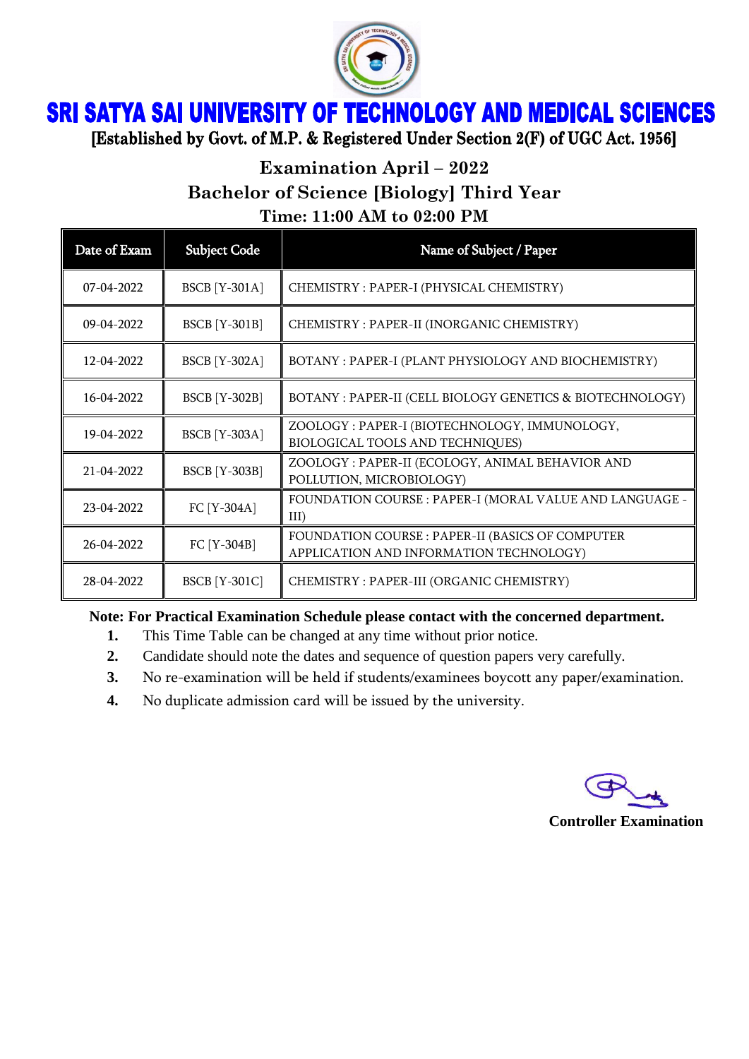

# **SRI SATYA SAI UNIVERSITY OF TECHNOLOGY AND MEDICAL SCIENCES**

[Established by Govt. of M.P. & Registered Under Section 2(F) of UGC Act. 1956]

## **Examination April – 2022 Bachelor of Science [Biology] Third Year Time: 11:00 AM to 02:00 PM**

| Date of Exam     | <b>Subject Code</b>  | Name of Subject / Paper                                                                     |
|------------------|----------------------|---------------------------------------------------------------------------------------------|
| $07 - 04 - 2022$ | <b>BSCB</b> [Y-301A] | CHEMISTRY: PAPER-I (PHYSICAL CHEMISTRY)                                                     |
| $09 - 04 - 2022$ | <b>BSCB</b> [Y-301B] | CHEMISTRY: PAPER-II (INORGANIC CHEMISTRY)                                                   |
| 12-04-2022       | <b>BSCB</b> [Y-302A] | BOTANY: PAPER-I (PLANT PHYSIOLOGY AND BIOCHEMISTRY)                                         |
| 16-04-2022       | <b>BSCB</b> [Y-302B] | BOTANY : PAPER-II (CELL BIOLOGY GENETICS & BIOTECHNOLOGY)                                   |
| 19-04-2022       | <b>BSCB</b> [Y-303A] | ZOOLOGY: PAPER-I (BIOTECHNOLOGY, IMMUNOLOGY,<br>BIOLOGICAL TOOLS AND TECHNIQUES)            |
| $21 - 04 - 2022$ | <b>BSCB</b> [Y-303B] | ZOOLOGY: PAPER-II (ECOLOGY, ANIMAL BEHAVIOR AND<br>POLLUTION, MICROBIOLOGY)                 |
| 23-04-2022       | FC [Y-304A]          | FOUNDATION COURSE : PAPER-I (MORAL VALUE AND LANGUAGE -<br>III)                             |
| 26-04-2022       | FC [Y-304B]          | FOUNDATION COURSE : PAPER-II (BASICS OF COMPUTER<br>APPLICATION AND INFORMATION TECHNOLOGY) |
| 28-04-2022       | <b>BSCB</b> [Y-301C] | CHEMISTRY: PAPER-III (ORGANIC CHEMISTRY)                                                    |

### **Note: For Practical Examination Schedule please contact with the concerned department.**

- **1.** This Time Table can be changed at any time without prior notice.
- **2.** Candidate should note the dates and sequence of question papers very carefully.
- **3.** No re-examination will be held if students/examinees boycott any paper/examination.
- **4.** No duplicate admission card will be issued by the university.

#### **Controller Examination**